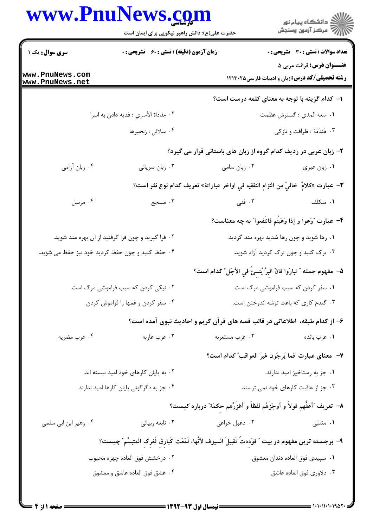|                                                  | www.PnuNews.com                                                                                     |                                                                                     |                                                                                            |
|--------------------------------------------------|-----------------------------------------------------------------------------------------------------|-------------------------------------------------------------------------------------|--------------------------------------------------------------------------------------------|
|                                                  | حضرت علی(ع): دانش راهبر نیکویی برای ایمان است                                                       |                                                                                     | ِ<br>∭ دانشڪاه پيام نور<br>∭ مرڪز آزمون وسنڊش                                              |
| سری سوال: یک ۱                                   | زمان آزمون (دقیقه) : تستی : ۶۰٪ تشریحی : ۰                                                          |                                                                                     | <b>تعداد سوالات : تستی : 30 ٪ تشریحی : 0</b>                                               |
| www.PnuNews.com                                  |                                                                                                     |                                                                                     | <b>عنـــوان درس:</b> قرائت عربی ۵<br><b>رشته تحصیلی/کد درس:</b> زبان و ادبیات فارسی۱۲۱۳۰۲۵ |
| www.PnuNews.net                                  |                                                                                                     | ا– کدام گزینه با توجه به معنای کلمه درست است؟                                       |                                                                                            |
|                                                  | ٠٢ مفاداة الأسري : فديه دادن به اسرا                                                                |                                                                                     | ١. سعة المدي : گسترش عظمت                                                                  |
|                                                  | ۰۴ سلائل : زنجيرها                                                                                  |                                                                                     | ۰۳ هَندَمَة : ظرافت و نازكي                                                                |
|                                                  |                                                                                                     | ۲- زبان عربی در ردیف کدام گروه از زبان های باستانی قرار می گیرد؟                    |                                                                                            |
| ۰۴ زبان آرامی                                    | ۰۳ زبان سریانی                                                                                      | ۰۲ زبان سامی                                                                        | ٠١ زبان عبري                                                                               |
|                                                  |                                                                                                     | ٣- عبارت «كلامَ  خاليَّ من التزام التقفيه في اواخر عباراتة» تعريف كدام نوع نثر است؟ |                                                                                            |
| ۰۴ مرسل                                          | ۰۳ مسجع                                                                                             | ۲. فنی                                                                              | ۰۱ متکلف                                                                                   |
|                                                  |                                                                                                     | ۴– عبارت "وَعوا و إذا وَعَيْتُم فانتَفعوا" به چه معناست؟                            |                                                                                            |
|                                                  | ۰۲ فرا گیرید و چون فرا گرفتید از آن بهره مند شوید.                                                  |                                                                                     | ۰۱ رها شوید و چون رها شدید بهره مند گردید.                                                 |
| ۰۴ حفظ کنید و چون حفظ کردید خود نیز حفظ می شوید. |                                                                                                     |                                                                                     | ۰۳ ترک کنید و چون ترک کردید آزاد شوید.                                                     |
|                                                  |                                                                                                     | ۵− مفهوم جمله ″ تبارّوا فانّ البرَّ يُنسئُ في الأجَل ″ كدام است؟                    |                                                                                            |
|                                                  | ۰۲ نیکی کردن که سبب فراموشی مرگ است.                                                                |                                                                                     | ۰۱ سفر کردن که سبب فراموشی مرگ است.                                                        |
|                                                  | ۰۴ سفر کردن و غمها را فراموش کردن                                                                   |                                                                                     | ۰۳ گندم کاری که باعث توشه اندوختن است.                                                     |
|                                                  |                                                                                                     | ۶- از کدام طبقه، اطلاعاتی در قالب قصه های قرآن کریم و احادیث نبوی آمده است؟         |                                                                                            |
| ۰۴ عرب مضريه                                     | ۰۳ عرب عاربه                                                                                        | ۰۲ عرب مستعربه                                                                      | ۰۱ عرب بائده                                                                               |
|                                                  |                                                                                                     | ٧- معناي عبارت "فما يَرجُون غيرَ العواقب" كدام است؟                                 |                                                                                            |
|                                                  | ۰۲ به پایان کارهای خود امید نبسته اند.                                                              |                                                                                     | ۰۱ جز به رستاخیز امید ندارند.                                                              |
|                                                  | ۰۴ جز به دگرگونی پایان کارها امید ندارند.                                                           |                                                                                     | ۰۳ جز از عاقبت کارهای خود نمی ترسند.                                                       |
|                                                  |                                                                                                     | ٨– تعريف "أعفُّهم قولاً و أوجَزَهُم لفظاً و أغزَرُهم حِكمَة" درباره كيست؟           |                                                                                            |
| ۰۴ زهیر ابن ابی سلمی                             | ۰۳ نابغه زبیانی                                                                                     | ۰۲ دعبل خزاعی                                                                       | ۰۱ متنبّی                                                                                  |
|                                                  | ٩– برجسته ترين مفهوم در بيت ″ فوَددتُ تَقبيلَ السيوف لأنَّها، لَمَعَت كَبارق ثَغرک المتبسِّم″ چيست؟ |                                                                                     |                                                                                            |
|                                                  | ۰۲ درخشش فوق العاده چهره محبوب                                                                      |                                                                                     | ٠١ سپيدى فوق العاده دندان معشوق                                                            |
|                                                  | ۰۴ عشق فوق العاده عاشق و معشوق                                                                      |                                                                                     | ۰۳ دلاوری فوق العاده عاشق                                                                  |

 $= 1.1 - 11.1 - 19.87$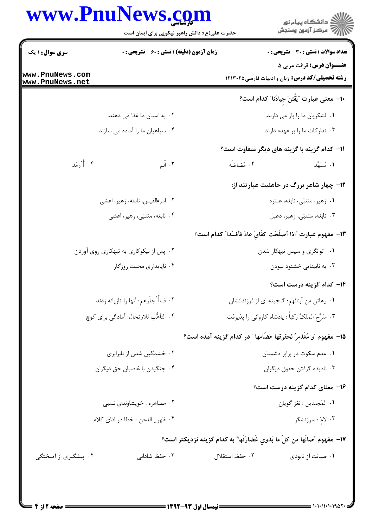## www.PnuNews.com

| زمان آزمون (دقیقه) : تستی : 60 ٪ تشریحی : 0 |                                                                                                                                                                                                                                                                                                                                                                                                                          |
|---------------------------------------------|--------------------------------------------------------------------------------------------------------------------------------------------------------------------------------------------------------------------------------------------------------------------------------------------------------------------------------------------------------------------------------------------------------------------------|
|                                             | <b>تعداد سوالات : تستی : 30 ٪ تشریحی : 0</b>                                                                                                                                                                                                                                                                                                                                                                             |
|                                             | <b>عنـــوان درس:</b> قرائت عربی ۵<br><b>رشته تحصیلی/کد درس:</b> زبان و ادبیات فارسی۱۲۱۳۰۲۵                                                                                                                                                                                                                                                                                                                               |
|                                             | ∙ا− معنی عبارت ″یَقٌتنَ جیادَنا″ کدام است؟                                                                                                                                                                                                                                                                                                                                                                               |
|                                             | ۰۱ لشکریان ما را باز می دارند.                                                                                                                                                                                                                                                                                                                                                                                           |
|                                             | ۰۳ تدارکات ما را بر عهده دارند.                                                                                                                                                                                                                                                                                                                                                                                          |
|                                             | 11– كدام گزينه با گزينه هاي ديگر متفاوت است؟                                                                                                                                                                                                                                                                                                                                                                             |
| ۰۳ آلم                                      | ٢. مَضاضَه<br>۰۱ مُسَهَّد                                                                                                                                                                                                                                                                                                                                                                                                |
|                                             | ۱۲- چهار شاعر بزرگ در جاهلیت عبارتند از:                                                                                                                                                                                                                                                                                                                                                                                 |
|                                             | ۰۱ زهیر، متنبّی، نابغه، عنتره                                                                                                                                                                                                                                                                                                                                                                                            |
|                                             | ۰۳ نابغه، متنبّى، زهير، دعبل                                                                                                                                                                                                                                                                                                                                                                                             |
|                                             | ١٣- مفهوم عبارت "اذا أصلَحَت كفَّاىَ عادَ فأفسَدا" كدام است؟                                                                                                                                                                                                                                                                                                                                                             |
|                                             | ۰۱ توانگری و سپس تبهکار شدن                                                                                                                                                                                                                                                                                                                                                                                              |
|                                             | ۰۳ به نابینایی خشنود نبودن                                                                                                                                                                                                                                                                                                                                                                                               |
|                                             | ۱۴– کدام گزینه درست است؟                                                                                                                                                                                                                                                                                                                                                                                                 |
|                                             | ١. رهائن من أبنائهم: گنجينه اي از فرزندانشان                                                                                                                                                                                                                                                                                                                                                                             |
|                                             | ۰۳ سَرَّحَ الملكُ ركباً : پادشاه كارواني را پذيرفت                                                                                                                                                                                                                                                                                                                                                                       |
|                                             | 1۵– مفهوم "و مُغَذمرٌ لحقوقها هَضَّامَها " در کدام گزینه آمده است؟                                                                                                                                                                                                                                                                                                                                                       |
|                                             | ۰۱ عدم سکوت در برابر دشمنان                                                                                                                                                                                                                                                                                                                                                                                              |
|                                             | ۰۳ نادیده گرفتن حقوق دیگران                                                                                                                                                                                                                                                                                                                                                                                              |
|                                             | ۱۶- معنای کدام گزینه درست است؟                                                                                                                                                                                                                                                                                                                                                                                           |
|                                             | ٠١. المُجيدين : نغز گويان                                                                                                                                                                                                                                                                                                                                                                                                |
|                                             | ۰۳ لامّ : سرزنشگر                                                                                                                                                                                                                                                                                                                                                                                                        |
|                                             | ١٧- مفهوم "صانَها من كلّ ما يَذوي غَضارَتَها" به كدام گزينه نزديكتر است؟                                                                                                                                                                                                                                                                                                                                                 |
| ۰۳ حفظ شادابی                               | ٢. حفظ استقلال<br>۰۱ صیانت از نابودی                                                                                                                                                                                                                                                                                                                                                                                     |
|                                             | ۲. به اسبان ما غذا می دهند.<br>۰۴ سپاهیان ما را آماده می سازند.<br>٢. امرءالقيس، نابغه، زهير، اعشى<br>۰۴ نابغه، متنبّى، زهير، اعشى<br>۰۲ پس از نیکوکاری به تبهکاری روی آوردن<br>۰۴ ناپایداری محبت روزگار<br>٠٢ فأُ جلَوهم: أنها را تازيانه زدند<br>۴. التأهُّب للارتحال: أمادگي براي كوچ<br>۰۲ خشمگین شدن از نابرابری<br>۰۴ جنگیدن با غاصبان حق دیگران<br>۰۲ مصاهره : خویشاوندی نسبی<br>۰۴ ظهور اللحن : خطا در اداي كلام |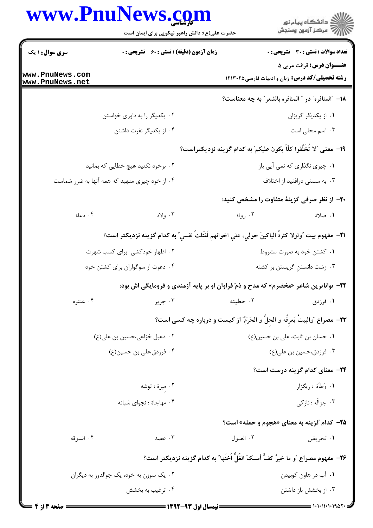## WWW PnuNaws com

| WWW.FII                                 | حضرت علی(ع): دانش راهبر نیکویی برای ایمان است      | ڏ دانشڪاه پيام نور<br>7- مرڪز آزمون وسنڊش                                                         |
|-----------------------------------------|----------------------------------------------------|---------------------------------------------------------------------------------------------------|
| <b>سری سوال : ۱ یک</b>                  | <b>زمان آزمون (دقیقه) : تستی : 60 ٪ تشریحی : 0</b> | <b>تعداد سوالات : تستی : 30 ٪ تشریحی : 0</b>                                                      |
| www.PnuNews.com<br>www.PnuNews.net      |                                                    | <b>عنـــوان درس:</b> قرائت عربي ۵<br><b>رشته تحصیلی/کد درس:</b> زبان و ادبیات فارسی۱۲۱۳۰۲۵        |
|                                         |                                                    | 18- "المنافره" در " المنافره بالشعر" به چه معناست؟                                                |
|                                         | ۰۲ یکدیگر را به داوری خواستن                       | ۰۱ از یکدیگر گریزان                                                                               |
|                                         | ۰۴ از یکدیگر نفرت داشتن                            | ۰۳ اسم محلی است                                                                                   |
|                                         |                                                    | 1۹− معنى ″لا تُخَلِّفوا كلّاً يكون عليكم″ به كدام گزينه نزديكتراست؟                               |
|                                         | ۰۲ برخود نکنید هیچ خطایی که بمانید                 | ۰۱ چیزی نگذاری که نمی آیی باز                                                                     |
|                                         | ۰۴ از خود چیزی منهید که همه آنها به ضرر شماست      | ۰۳ به سستی درافتید از اختلاف                                                                      |
|                                         |                                                    | +۲- از نظر صرفی گزینهٔ متفاوت را مشخص کنید:                                                       |
| ۰۴ دعاة                                 | ۰۳ ولاة                                            | ۰۲ رواة<br>١. صلاة                                                                                |
|                                         |                                                    | ٣١-  مفهوم بيت ″ولولا كثرةُ الباكينَ حولي، علي اخوانهم لَقَتَلتُ نفسي″ به كدام گزينه نزديكتر است؟ |
|                                         | ۰۲ اظهار خودکشی برای کسب شهرت                      | ۰۱ کشتن خود به صورت مشروط                                                                         |
|                                         | ۰۴ دعوت از سوگواران برای کشتن خود                  | ۰۳ زشت دانستنِ گریستن بر کشته                                                                     |
|                                         |                                                    | <b>۲۲</b> - تواناترین شاعر «مخضرم» که مدح و ذمّ فراوان او بر پایه آزمندی و فرومایگی اش بود:       |
| ۰۴ عنتره                                | ۰۳ جرير                                            | ۰۲ حطيئه<br>۰۱ فرزدق                                                                              |
|                                         |                                                    | <b>۲۳</b> – مصراع "والبيتُ يَعرفُه و الحلَّ و الحَرَمٌ" از کيست و درباره چه کسی است؟              |
|                                         | ٠٢ دعبل خزاعي،حسين بن علي(ع)                       | ٠١ حسان بن ثابت، على بن حسين(ع)                                                                   |
|                                         | ۰۴ فرزدق،علی بن حسین(ع)                            | ۰۳ فرزدق،حسین بن علی(ع)                                                                           |
|                                         |                                                    | ۲۴- معنای کدام گزینه درست است؟                                                                    |
|                                         | ۰۲ میرة : توشه                                     | ١. وَطَأَة : ريگزار                                                                               |
|                                         | ۰۴ مهاجاة : نجواي شبانه                            | ۰۳ جزاله : نازكى                                                                                  |
|                                         |                                                    | <b>۳۵</b> - کدام گزینه به معنای «هجوم و حمله» است؟                                                |
| ۰۴ السوقه                               | ۰۳ عصد                                             | ۰۲ الصول<br>۰۱ تحريض                                                                              |
|                                         |                                                    | ٢۶– مفهوم مصراع "و ما خيرُ كفٍّ أمسكَ الغُلَّ اُختَها" به كدام گزينه نزديكتر است؟                 |
| ۰۲ یک سوزن به خود، یک جوالدوز به دیگران |                                                    | ۰۱ آب در هاون کوبیدن                                                                              |
| ۰۴ ترغیب به بخشش                        |                                                    | ۰۳ از بخشش باز داشتن                                                                              |
|                                         |                                                    |                                                                                                   |

 $1.5.5$